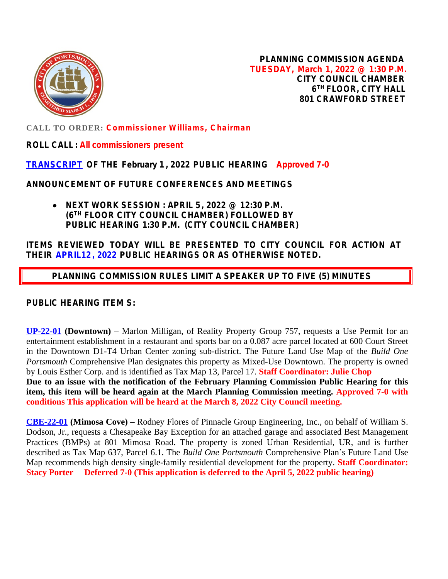

**PLANNING COMMISSION AGENDA TUESDAY, March 1, 2022 @ 1:30 P.M. CITY COUNCIL CHAMBER 6 TH FLOOR, CITY HALL 801 CRAWFORD STREET**

**CALL TO ORDER: Commissioner Williams, Chairman**

**ROLL CALL : All commissioners present**

## **[TRANSCRIPT](https://www.portsmouthva.gov/DocumentCenter/View/11992/Transcrip020122) OF THE February 1 , 2022 PUBLIC HEARING Approved 7-0**

**ANNOUNCEMENT OF FUTURE CONFERENCES AND MEETINGS**

 **NEXT WORK SESSION : APRIL 5, 2022 @ 12:30 P.M. (6TH FLOOR CITY COUNCIL CHAMBER) FOLLOWED BY PUBLIC HEARING 1:30 P.M. (CITY COUNCIL CHAMBER)**

**ITEMS REVIEWED TODAY WILL BE PRESENTED TO CITY COUNCIL FOR ACTION AT THEIR APRIL12, 2022 PUBLIC HEARINGS OR AS OTHERWISE NOTED.**

 **PLANNING COMMISSION RULES LIMIT A SPEAKER UP TO FIVE (5) MINUTES**

**PUBLIC HEARING ITEM S:**

**[UP-22-01](https://www.portsmouthva.gov/DocumentCenter/View/11994/UP-22-01-Staff-Report-Packet-PDF) (Downtown)** – Marlon Milligan, of Reality Property Group 757, requests a Use Permit for an entertainment establishment in a restaurant and sports bar on a 0.087 acre parcel located at 600 Court Street in the Downtown D1-T4 Urban Center zoning sub-district. The Future Land Use Map of the *Build One Portsmouth* Comprehensive Plan designates this property as Mixed-Use Downtown. The property is owned by Louis Esther Corp. and is identified as Tax Map 13, Parcel 17. **Staff Coordinator: Julie Chop**

**Due to an issue with the notification of the February Planning Commission Public Hearing for this item, this item will be heard again at the March Planning Commission meeting. Approved 7-0 with conditions This application will be heard at the March 8, 2022 City Council meeting.**

**[CBE-22-01](https://www.portsmouthva.gov/DocumentCenter/View/11995/CBE-22-01_Full-Staff-Report-Packet-for-printing) (Mimosa Cove) –** Rodney Flores of Pinnacle Group Engineering, Inc., on behalf of William S. Dodson, Jr., requests a Chesapeake Bay Exception for an attached garage and associated Best Management Practices (BMPs) at 801 Mimosa Road. The property is zoned Urban Residential, UR, and is further described as Tax Map 637, Parcel 6.1. The *Build One Portsmouth* Comprehensive Plan's Future Land Use Map recommends high density single-family residential development for the property. **Staff Coordinator: Stacy Porter Deferred 7-0 (This application is deferred to the April 5, 2022 public hearing)**